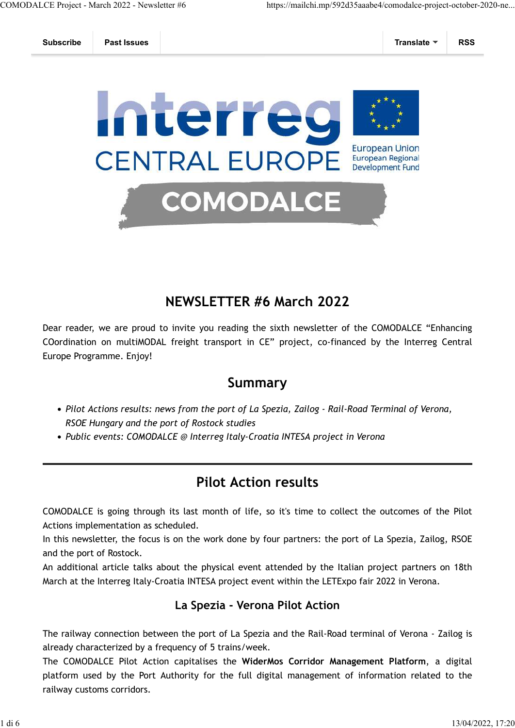



### **NEWSLETTER #6 March 2022**

Dear reader, we are proud to invite you reading the sixth newsletter of the COMODALCE "Enhancing COordination on multiMODAL freight transport in CE" project, co-financed by the Interreg Central Europe Programme. Enjoy!

#### **Summary**

- *Pilot Actions results: news from the port of La Spezia, Zailog Rail-Road Terminal of Verona, RSOE Hungary and the port of Rostock studies*
- *Public events: COMODALCE @ Interreg Italy-Croatia INTESA project in Verona*

## **Pilot Action results**

COMODALCE is going through its last month of life, so it's time to collect the outcomes of the Pilot Actions implementation as scheduled.

In this newsletter, the focus is on the work done by four partners: the port of La Spezia, Zailog, RSOE and the port of Rostock.

An additional article talks about the physical event attended by the Italian project partners on 18th March at the Interreg Italy-Croatia INTESA project event within the LETExpo fair 2022 in Verona.

#### **La Spezia - Verona Pilot Action**

The railway connection between the port of La Spezia and the Rail-Road terminal of Verona - Zailog is already characterized by a frequency of 5 trains/week.

The COMODALCE Pilot Action capitalises the **WiderMos Corridor Management Platform**, a digital platform used by the Port Authority for the full digital management of information related to the railway customs corridors.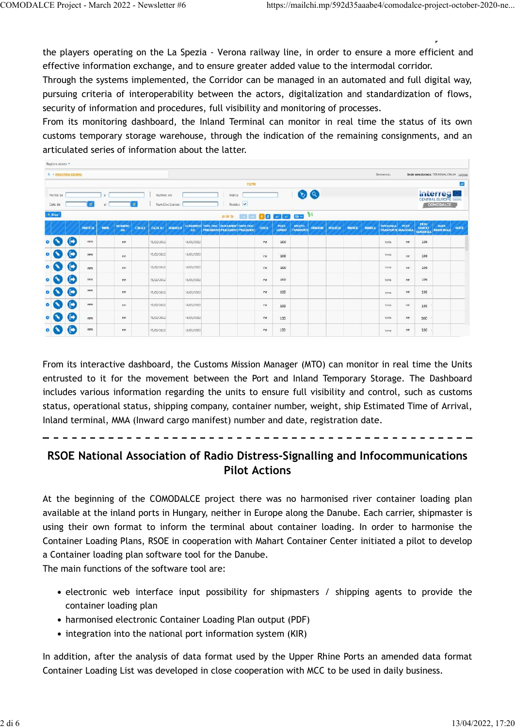the players operating on the La Spezia - Verona railway line, in order to ensure a more efficient and effective information exchange, and to ensure greater added value to the intermodal corridor.

Through the systems implemented, the Corridor can be managed in an automated and full digital way, pursuing criteria of interoperability between the actors, digitalization and standardization of flows, security of information and procedures, full visibility and monitoring of processes.

From its monitoring dashboard, the Inland Terminal can monitor in real time the status of its own customs temporary storage warehouse, through the indication of the remaining consignments, and an articulated series of information about the latter.

| <b>N</b> + REGISTRO ESTERO |                |                |            |                     |               |            |                  |            |                                                                             |                                                                                                                               |              |                |                    |                |                |               |              | Bemvericht.                                   |       |                           | Sede selezionata: TERMINALIITALIA Looput |             |
|----------------------------|----------------|----------------|------------|---------------------|---------------|------------|------------------|------------|-----------------------------------------------------------------------------|-------------------------------------------------------------------------------------------------------------------------------|--------------|----------------|--------------------|----------------|----------------|---------------|--------------|-----------------------------------------------|-------|---------------------------|------------------------------------------|-------------|
|                            |                |                |            |                     |               |            |                  |            |                                                                             | FILTAI                                                                                                                        |              |                |                    |                |                |               |              |                                               |       |                           |                                          | Е           |
|                            |                |                |            |                     |               |            |                  |            |                                                                             |                                                                                                                               |              |                |                    |                |                |               |              |                                               |       |                           |                                          |             |
| Partita: da                |                |                | (3)        |                     |               | Numero A3: |                  |            | Marca:                                                                      |                                                                                                                               |              |                | $\odot$            |                |                |               |              |                                               |       |                           | <b>Interregianal</b>                     |             |
| Data dal                   |                | $\blacksquare$ | al.        |                     | 画             |            | Num Dec Scarico: |            |                                                                             | Residuit .                                                                                                                    |              |                |                    |                |                |               |              |                                               |       |                           | COMODALCE                                |             |
| $+$ Cres                   |                |                |            |                     |               |            |                  |            | $(1$ OF 2)                                                                  | $\frac{1}{2}$ $\frac{1}{2}$ $\frac{1}{2}$ $\frac{1}{2}$ $\frac{1}{2}$ $\frac{1}{2}$ $\frac{1}{2}$ $\frac{1}{2}$ $\frac{1}{2}$ |              |                |                    |                |                |               |              |                                               |       |                           |                                          |             |
|                            |                | <b>PARTITA</b> | <b>MRN</b> | <b>NUMERO</b><br>A3 | <b>CIN A3</b> |            | DATA AT SINGOLO  | A3         | SCADENZA TIPO DOC DOCUMENT DATA DOC<br><b>FRECEDENT PRECEDENT PRECEDENT</b> |                                                                                                                               | <b>COLLI</b> | PESO.<br>LORDO | MEZZO<br>TRASPORTI | <b>ORIGINS</b> | <b>PO1172A</b> | <b>NIERCE</b> | <b>MARCA</b> | <b>TIPOLOGIA</b><br><b>TRASPORTE GIACENZA</b> | PEZZI | PESO<br>10200<br>GIACENZA | DATA<br><b>REGISTRAZI</b>                | <b>NOTE</b> |
|                            | c              | m              |            | nn                  |               | 15/02/2022 |                  | 16/05/2022 |                                                                             |                                                                                                                               | nn.          | 100            |                    |                |                |               |              | terra                                         | .nn   | 100                       |                                          |             |
|                            | $\blacksquare$ | m              |            | nn                  |               | 15/02/2022 |                  | 16/05/2022 |                                                                             |                                                                                                                               | inn.         | 100            |                    |                |                |               |              | tema                                          | .nn   | 100                       |                                          |             |
|                            | $\blacksquare$ | rm             |            | nin                 |               | 15/02/2022 |                  | 16/05/2022 |                                                                             |                                                                                                                               | nn.          | 100            |                    |                |                |               |              | terra                                         | nn    | 100                       |                                          |             |
|                            | c              | $\dot{m}$      |            | nn                  |               | 15/02/2022 |                  | 16/05/2022 |                                                                             |                                                                                                                               | nn           | 100            |                    |                |                |               |              | terra                                         | nn    | 100                       |                                          |             |
|                            | c              | nnn.           |            | nn                  |               | 15/02/2022 |                  | 16/05/2022 |                                                                             |                                                                                                                               | nn.          | 100            |                    |                |                |               |              | tema                                          | nn.   | 100                       |                                          |             |
|                            | $\blacksquare$ | m              |            | nn                  |               | 15/02/2022 |                  | 16/05/2022 |                                                                             |                                                                                                                               | m            | 100            |                    |                |                |               |              | tema                                          | :nn   | 100                       |                                          |             |
|                            | C              | rm             |            | nn                  |               | 15/02/2022 |                  | 16/05/2022 |                                                                             |                                                                                                                               | nn           | 100            |                    |                |                |               |              | terra                                         | nn    | 100                       |                                          |             |
|                            | ➡              | rm             |            | nn                  |               | 15/02/2022 |                  | 16/05/2022 |                                                                             |                                                                                                                               | nn           | 100            |                    |                |                |               |              | terra                                         | nn    | 100                       |                                          |             |

From its interactive dashboard, the Customs Mission Manager (MTO) can monitor in real time the Units entrusted to it for the movement between the Port and Inland Temporary Storage. The Dashboard includes various information regarding the units to ensure full visibility and control, such as customs status, operational status, shipping company, container number, weight, ship Estimated Time of Arrival, Inland terminal, MMA (Inward cargo manifest) number and date, registration date.

**RSOE National Association of Radio Distress-Signalling and Infocommunications**

### **Pilot Actions**

At the beginning of the COMODALCE project there was no harmonised river container loading plan available at the inland ports in Hungary, neither in Europe along the Danube. Each carrier, shipmaster is using their own format to inform the terminal about container loading. In order to harmonise the Container Loading Plans, RSOE in cooperation with Mahart Container Center initiated a pilot to develop a Container loading plan software tool for the Danube.

The main functions of the software tool are:

- electronic web interface input possibility for shipmasters / shipping agents to provide the container loading plan
- harmonised electronic Container Loading Plan output (PDF)
- integration into the national port information system (KIR)

In addition, after the analysis of data format used by the Upper Rhine Ports an amended data format Container Loading List was developed in close cooperation with MCC to be used in daily business.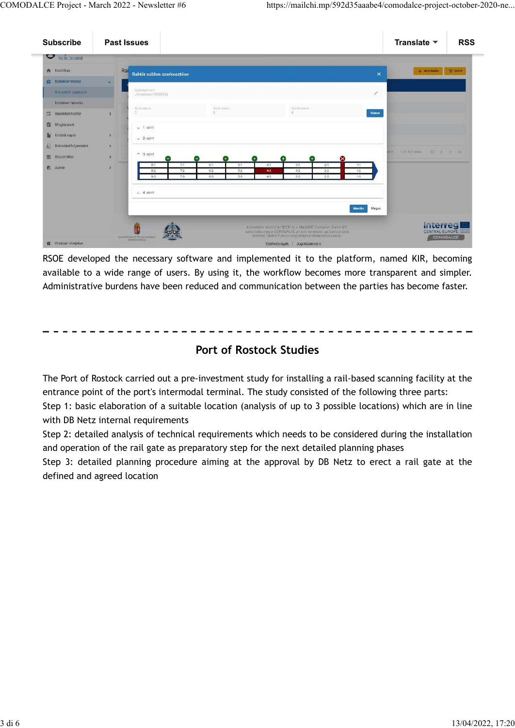| <b>Subscribe</b>           | <b>Past Issues</b>                                                                                                                                                     | Translate $\blacktriangledown$ | <b>RSS</b> |
|----------------------------|------------------------------------------------------------------------------------------------------------------------------------------------------------------------|--------------------------------|------------|
| <b>RIGRO Terminal</b>      |                                                                                                                                                                        |                                |            |
| Rezontap                   | Ral<br>Raktér sablon szerkesztése<br>$\mathbf{x}$                                                                                                                      | $+$ Hozzándás $\equiv$ Szürő   |            |
| <b>Nontener modul</b>      | w.                                                                                                                                                                     |                                |            |
| Rakodorőr nabíonok         | Outside although refer to<br>1<br>Johannes (4500080)                                                                                                                   |                                |            |
| Kontener rakodás           |                                                                                                                                                                        |                                |            |
| $\Box$<br>Hajóállás haptár | Sonitazione.<br>Tenit stirra<br>Spirite assers.<br>33<br>8<br>Viuxza<br>э                                                                                              |                                |            |
| 自<br>Megbizások            | $-1.52$ int                                                                                                                                                            |                                |            |
| 鄙.<br>Kikötői napló        | $\rightarrow$<br>$\times$ 2. szint                                                                                                                                     |                                |            |
| 巫<br>Rakodasi folyamatok   | $\bullet$                                                                                                                                                              |                                |            |
| 田<br>Dijszámítás.          | $A = 3$ , szint<br>$\rightarrow$<br>$\propto$<br>Н.<br>$\pm$<br>1+<br>+<br>0                                                                                           | ※19 1-5:50.000 区 く 》 21        |            |
| $\mathbf{e}$<br>Admin      | 745<br>$5-1$<br>$4-1$<br>$3-1$<br>$B-1$<br>$-0 - 1$<br>$2 - 1$<br>$1 - 1$<br>$\mathbf{y}$<br>$4-2$<br>$7-2$<br>$5-2$<br>$3-2$<br>$-6-2$<br>$2 - 2$<br>$8-2$<br>$1 - 2$ |                                |            |
|                            | 73<br>$5-3$<br>24<br>63<br>43<br>$3-3$<br>B-3<br>$7-3$                                                                                                                 |                                |            |
|                            |                                                                                                                                                                        |                                |            |
|                            | $-4$ szint                                                                                                                                                             |                                |            |
|                            | <b>Mentes</b><br>Megse                                                                                                                                                 |                                |            |
|                            |                                                                                                                                                                        |                                |            |
|                            | A Konténer moduli az RSOE as a MAHART Container Genter Kh.<br>valouitotta meg a COMODALCE projekt kerefeben az Európai Unio                                            | Interregi<br>CENTRAL EUROPE    | --         |
| « Oldalsáv eirejtése       | Internet Central Europe programa tarxfinantzirozalsával<br>ENHOUSCHIN IS TECHNOLOGIAL<br>AGNIETYPIALIAE<br>Elerhetőségek Jogi közlemény                                | COMODALCE                      |            |

RSOE developed the necessary software and implemented it to the platform, named KIR, becoming available to a wide range of users. By using it, the workflow becomes more transparent and simpler. Administrative burdens have been reduced and communication between the parties has become faster.

#### **Port of Rostock Studies**

The Port of Rostock carried out a pre-investment study for installing a rail-based scanning facility at the entrance point of the port's intermodal terminal. The study consisted of the following three parts:

Step 1: basic elaboration of a suitable location (analysis of up to 3 possible locations) which are in line with DB Netz internal requirements

Step 2: detailed analysis of technical requirements which needs to be considered during the installation and operation of the rail gate as preparatory step for the next detailed planning phases

Step 3: detailed planning procedure aiming at the approval by DB Netz to erect a rail gate at the defined and agreed location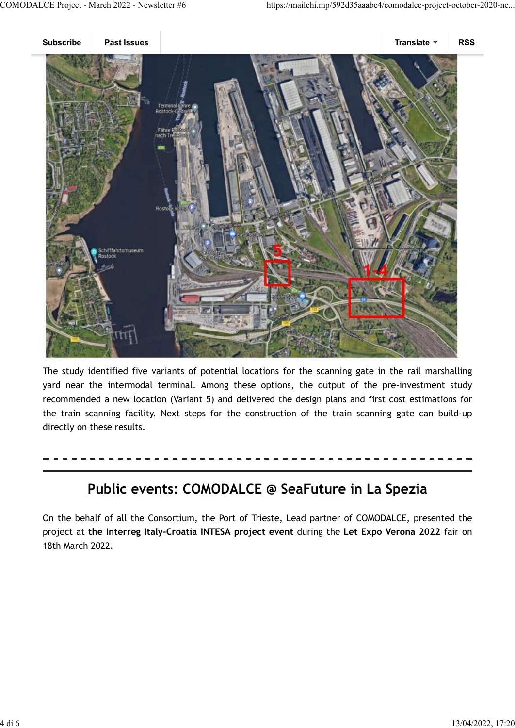

The study identified five variants of potential locations for the scanning gate in the rail marshalling yard near the intermodal terminal. Among these options, the output of the pre-investment study recommended a new location (Variant 5) and delivered the design plans and first cost estimations for the train scanning facility. Next steps for the construction of the train scanning gate can build-up directly on these results.

## **Public events: COMODALCE @ SeaFuture in La Spezia**

On the behalf of all the Consortium, the Port of Trieste, Lead partner of COMODALCE, presented the project at **the Interreg Italy-Croatia INTESA project event** during the **Let Expo Verona 2022** fair on 18th March 2022.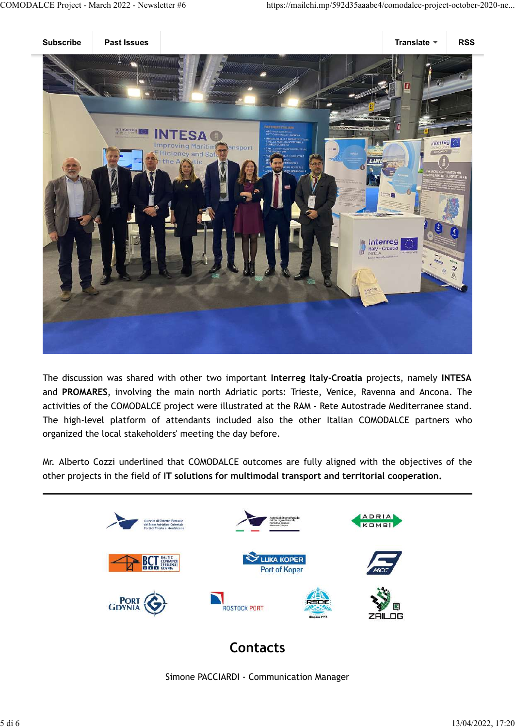

The discussion was shared with other two important **Interreg Italy-Croatia** projects, namely **INTESA** and **PROMARES**, involving the main north Adriatic ports: Trieste, Venice, Ravenna and Ancona. The activities of the COMODALCE project were illustrated at the RAM - Rete Autostrade Mediterranee stand. The high-level platform of attendants included also the other Italian COMODALCE partners who organized the local stakeholders' meeting the day before.

Mr. Alberto Cozzi underlined that COMODALCE outcomes are fully aligned with the objectives of the other projects in the field of **IT solutions for multimodal transport and territorial cooperation.**



# **Contacts**

Simone PACCIARDI - Communication Manager